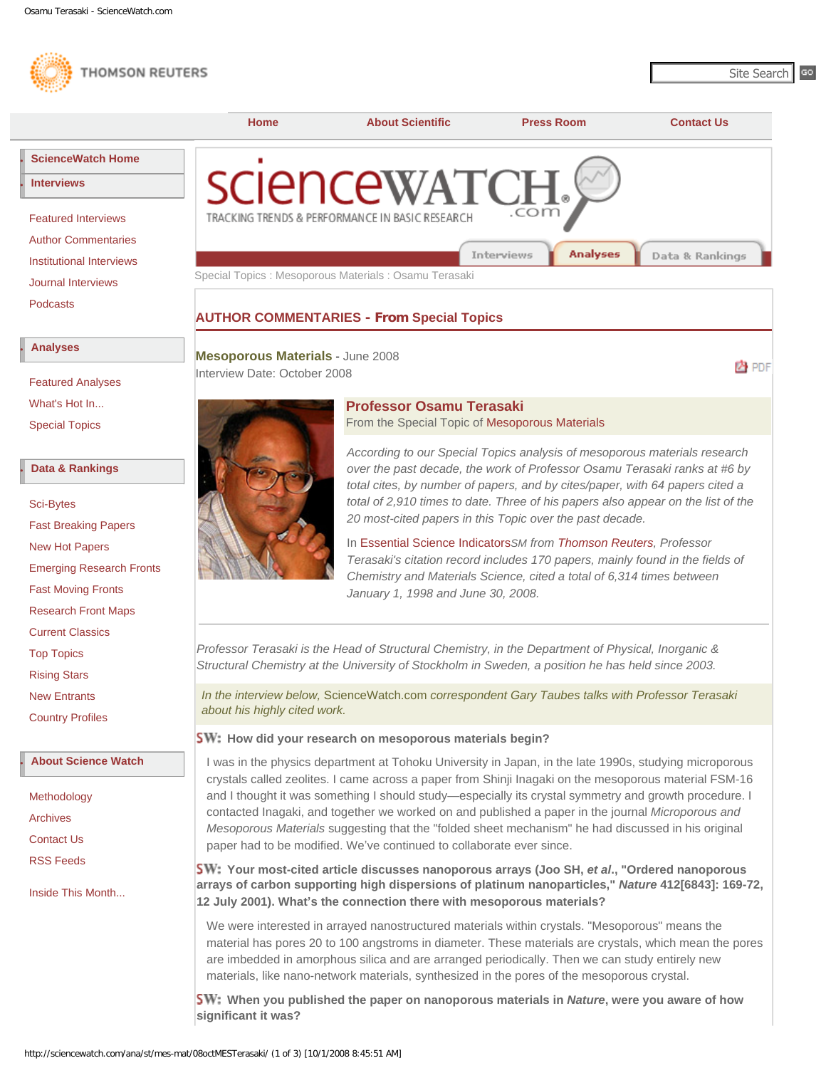<span id="page-0-0"></span>



 **When you published the paper on nanoporous materials in** *Nature***, were you aware of how significant it was?**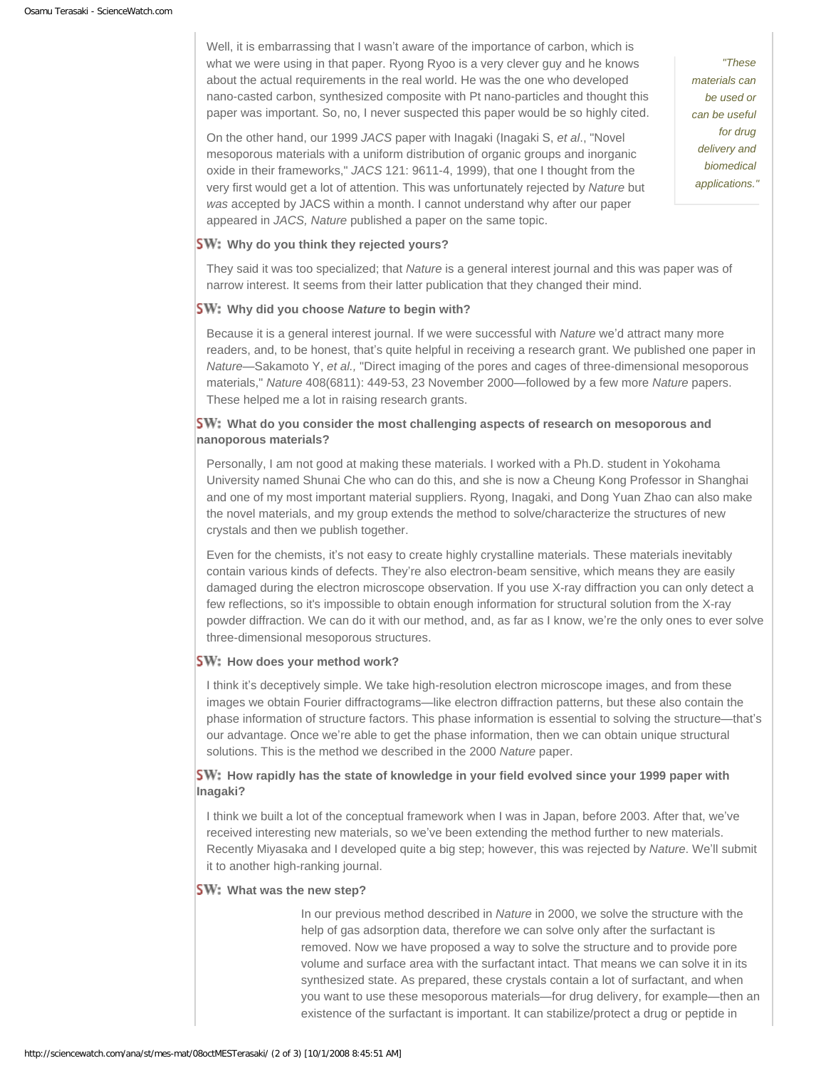Well, it is embarrassing that I wasn't aware of the importance of carbon, which is what we were using in that paper. Ryong Ryoo is a very clever guy and he knows about the actual requirements in the real world. He was the one who developed nano-casted carbon, synthesized composite with Pt nano-particles and thought this paper was important. So, no, I never suspected this paper would be so highly cited.

On the other hand, our 1999 *JACS* paper with Inagaki (Inagaki S, *et al*., "Novel mesoporous materials with a uniform distribution of organic groups and inorganic oxide in their frameworks," *JACS* 121: 9611-4, 1999), that one I thought from the very first would get a lot of attention. This was unfortunately rejected by *Nature* but *was* accepted by JACS within a month. I cannot understand why after our paper appeared in *JACS, Nature* published a paper on the same topic.

*"These materials can be used or can be useful for drug delivery and biomedical applications."*

## **SW:** Why do you think they rejected yours?

They said it was too specialized; that *Nature* is a general interest journal and this was paper was of narrow interest. It seems from their latter publication that they changed their mind.

### **SW:** Why did you choose *Nature* to begin with?

Because it is a general interest journal. If we were successful with *Nature* we'd attract many more readers, and, to be honest, that's quite helpful in receiving a research grant. We published one paper in *Nature*—Sakamoto Y, *et al.,* "Direct imaging of the pores and cages of three-dimensional mesoporous materials," *Nature* 408(6811): 449-53, 23 November 2000—followed by a few more *Nature* papers. These helped me a lot in raising research grants.

# **SW:** What do you consider the most challenging aspects of research on mesoporous and **nanoporous materials?**

Personally, I am not good at making these materials. I worked with a Ph.D. student in Yokohama University named Shunai Che who can do this, and she is now a Cheung Kong Professor in Shanghai and one of my most important material suppliers. Ryong, Inagaki, and Dong Yuan Zhao can also make the novel materials, and my group extends the method to solve/characterize the structures of new crystals and then we publish together.

Even for the chemists, it's not easy to create highly crystalline materials. These materials inevitably contain various kinds of defects. They're also electron-beam sensitive, which means they are easily damaged during the electron microscope observation. If you use X-ray diffraction you can only detect a few reflections, so it's impossible to obtain enough information for structural solution from the X-ray powder diffraction. We can do it with our method, and, as far as I know, we're the only ones to ever solve three-dimensional mesoporous structures.

### **SW: How does your method work?**

I think it's deceptively simple. We take high-resolution electron microscope images, and from these images we obtain Fourier diffractograms—like electron diffraction patterns, but these also contain the phase information of structure factors. This phase information is essential to solving the structure—that's our advantage. Once we're able to get the phase information, then we can obtain unique structural solutions. This is the method we described in the 2000 *Nature* paper.

# **SW:** How rapidly has the state of knowledge in your field evolved since your 1999 paper with **Inagaki?**

I think we built a lot of the conceptual framework when I was in Japan, before 2003. After that, we've received interesting new materials, so we've been extending the method further to new materials. Recently Miyasaka and I developed quite a big step; however, this was rejected by *Nature*. We'll submit it to another high-ranking journal.

# **SW: What was the new step?**

In our previous method described in *Nature* in 2000, we solve the structure with the help of gas adsorption data, therefore we can solve only after the surfactant is removed. Now we have proposed a way to solve the structure and to provide pore volume and surface area with the surfactant intact. That means we can solve it in its synthesized state. As prepared, these crystals contain a lot of surfactant, and when you want to use these mesoporous materials—for drug delivery, for example—then an existence of the surfactant is important. It can stabilize/protect a drug or peptide in